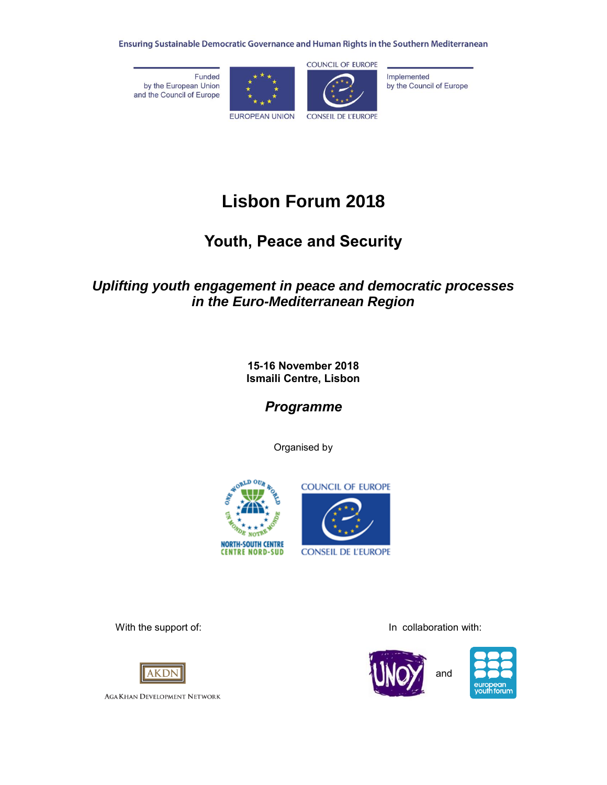Ensuring Sustainable Democratic Governance and Human Rights in the Southern Mediterranean

Funded by the European Union and the Council of Europe



Implemented by the Council of Europe

**Lisbon Forum 2018**

# **Youth, Peace and Security**

# *Uplifting youth engagement in peace and democratic processes in the Euro-Mediterranean Region*

**15-16 November 2018 Ismaili Centre, Lisbon**

*Programme*

Organised by





With the support of: **In collaboration with:** In collaboration with:







**AGA KHAN DEVELOPMENT NETWORK**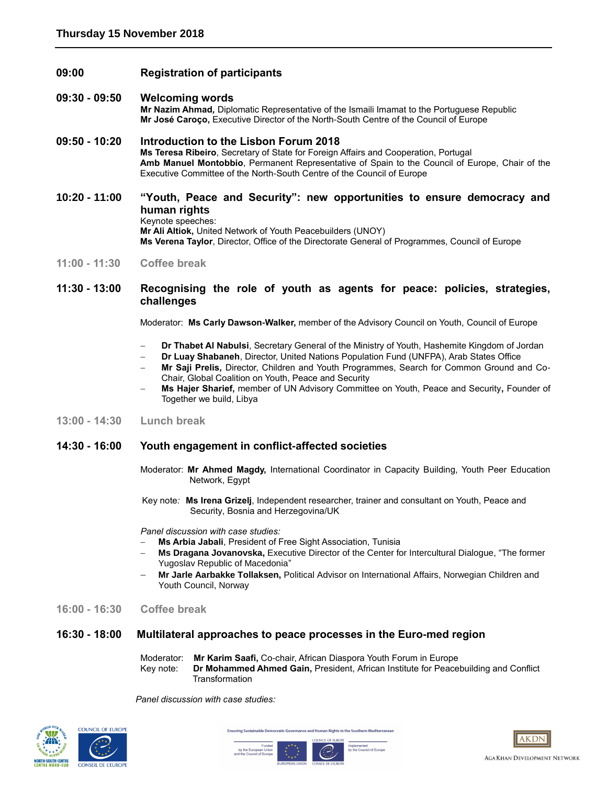**09:00 Registration of participants**

#### **09:30 - 09:50 Welcoming words**

**Mr Nazim Ahmad***,* Diplomatic Representative of the Ismaili Imamat to the Portuguese Republic **Mr José Caroço,** Executive Director of the North-South Centre of the Council of Europe

### **09:50 - 10:20 Introduction to the Lisbon Forum 2018**

**Ms Teresa Ribeiro**, Secretary of State for Foreign Affairs and Cooperation, Portugal **Amb Manuel Montobbio**, Permanent Representative of Spain to the Council of Europe, Chair of the Executive Committee of the North-South Centre of the Council of Europe

# **10:20 - 11:00 "Youth, Peace and Security": new opportunities to ensure democracy and human rights**

Keynote speeches:

**Mr Ali Altiok,** United Network of Youth Peacebuilders (UNOY) **Ms Verena Taylor**, Director, Office of the Directorate General of Programmes, Council of Europe

**11:00 - 11:30 Coffee break** 

### **11:30 - 13:00 Recognising the role of youth as agents for peace: policies, strategies, challenges**

Moderator: **Ms Carly Dawson-Walker,** member of the Advisory Council on Youth, Council of Europe

- **Dr Thabet Al Nabulsi**, Secretary General of the Ministry of Youth, Hashemite Kingdom of Jordan
- **Dr Luay Shabaneh**, Director, United Nations Population Fund (UNFPA), Arab States Office
- **Mr Saji Prelis,** Director, Children and Youth Programmes, Search for Common Ground and Co-Chair, Global Coalition on Youth, Peace and Security
- **Ms Hajer Sharief,** member of UN Advisory Committee on Youth, Peace and Security**,** Founder of Together we build, Libya
- **13:00 - 14:30 Lunch break**

## **14:30 - 16:00 Youth engagement in conflict-affected societies**

- Moderator: **Mr Ahmed Magdy,** International Coordinator in Capacity Building, Youth Peer Education Network, Egypt
- Key note*:* **Ms Irena Grizelj**, Independent researcher, trainer and consultant on Youth, Peace and Security, Bosnia and Herzegovina/UK

 *Panel discussion with case studies:*

- **Ms Arbia Jabali**, President of Free Sight Association, Tunisia
- **Ms Dragana Jovanovska,** Executive Director of the Center for Intercultural Dialogue, "The former Yugoslav Republic of Macedonia"
- **Mr Jarle Aarbakke Tollaksen,** Political Advisor on International Affairs, Norwegian Children and Youth Council, Norway
- **16:00 - 16:30 Coffee break**

#### **16:30 - 18:00 Multilateral approaches to peace processes in the Euro-med region**

- Moderator: **Mr Karim Saafi,** Co-chair, African Diaspora Youth Forum in Europe
- Key note:**Dr Mohammed Ahmed Gain,** President, African Institute for Peacebuilding and Conflict **Transformation**

Implemented<br>by the Council of Europe

 *Panel discussion with case studies:*